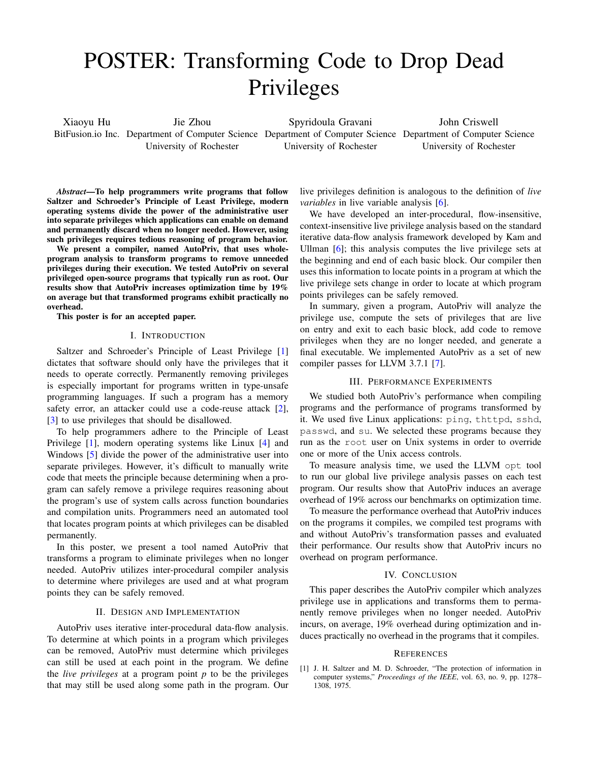# POSTER: Transforming Code to Drop Dead Privileges

Xiaoyu Hu BitFusion.io Inc. Department of Computer Science Department of Computer Science Department of Computer Science Jie Zhou University of Rochester Spyridoula Gravani University of Rochester John Criswell University of Rochester

*Abstract*—To help programmers write programs that follow Saltzer and Schroeder's Principle of Least Privilege, modern operating systems divide the power of the administrative user into separate privileges which applications can enable on demand and permanently discard when no longer needed. However, using such privileges requires tedious reasoning of program behavior.

We present a compiler, named AutoPriv, that uses wholeprogram analysis to transform programs to remove unneeded privileges during their execution. We tested AutoPriv on several privileged open-source programs that typically run as root. Our results show that AutoPriv increases optimization time by 19% on average but that transformed programs exhibit practically no overhead.

This poster is for an accepted paper.

### I. INTRODUCTION

Saltzer and Schroeder's Principle of Least Privilege [\[1\]](#page-0-0) dictates that software should only have the privileges that it needs to operate correctly. Permanently removing privileges is especially important for programs written in type-unsafe programming languages. If such a program has a memory safety error, an attacker could use a code-reuse attack [\[2\]](#page-1-0), [\[3\]](#page-1-1) to use privileges that should be disallowed.

To help programmers adhere to the Principle of Least Privilege [\[1\]](#page-0-0), modern operating systems like Linux [\[4\]](#page-1-2) and Windows [\[5\]](#page-1-3) divide the power of the administrative user into separate privileges. However, it's difficult to manually write code that meets the principle because determining when a program can safely remove a privilege requires reasoning about the program's use of system calls across function boundaries and compilation units. Programmers need an automated tool that locates program points at which privileges can be disabled permanently.

In this poster, we present a tool named AutoPriv that transforms a program to eliminate privileges when no longer needed. AutoPriv utilizes inter-procedural compiler analysis to determine where privileges are used and at what program points they can be safely removed.

## II. DESIGN AND IMPLEMENTATION

AutoPriv uses iterative inter-procedural data-flow analysis. To determine at which points in a program which privileges can be removed, AutoPriv must determine which privileges can still be used at each point in the program. We define the *live privileges* at a program point *p* to be the privileges that may still be used along some path in the program. Our live privileges definition is analogous to the definition of *live variables* in live variable analysis [\[6\]](#page-1-4).

We have developed an inter-procedural, flow-insensitive, context-insensitive live privilege analysis based on the standard iterative data-flow analysis framework developed by Kam and Ullman [\[6\]](#page-1-4); this analysis computes the live privilege sets at the beginning and end of each basic block. Our compiler then uses this information to locate points in a program at which the live privilege sets change in order to locate at which program points privileges can be safely removed.

In summary, given a program, AutoPriv will analyze the privilege use, compute the sets of privileges that are live on entry and exit to each basic block, add code to remove privileges when they are no longer needed, and generate a final executable. We implemented AutoPriv as a set of new compiler passes for LLVM 3.7.1 [\[7\]](#page-1-5).

### III. PERFORMANCE EXPERIMENTS

We studied both AutoPriv's performance when compiling programs and the performance of programs transformed by it. We used five Linux applications: ping, thttpd, sshd, passwd, and su. We selected these programs because they run as the root user on Unix systems in order to override one or more of the Unix access controls.

To measure analysis time, we used the LLVM opt tool to run our global live privilege analysis passes on each test program. Our results show that AutoPriv induces an average overhead of 19% across our benchmarks on optimization time.

To measure the performance overhead that AutoPriv induces on the programs it compiles, we compiled test programs with and without AutoPriv's transformation passes and evaluated their performance. Our results show that AutoPriv incurs no overhead on program performance.

#### IV. CONCLUSION

This paper describes the AutoPriv compiler which analyzes privilege use in applications and transforms them to permanently remove privileges when no longer needed. AutoPriv incurs, on average, 19% overhead during optimization and induces practically no overhead in the programs that it compiles.

#### **REFERENCES**

<span id="page-0-0"></span>[1] J. H. Saltzer and M. D. Schroeder, "The protection of information in computer systems," *Proceedings of the IEEE*, vol. 63, no. 9, pp. 1278– 1308, 1975.